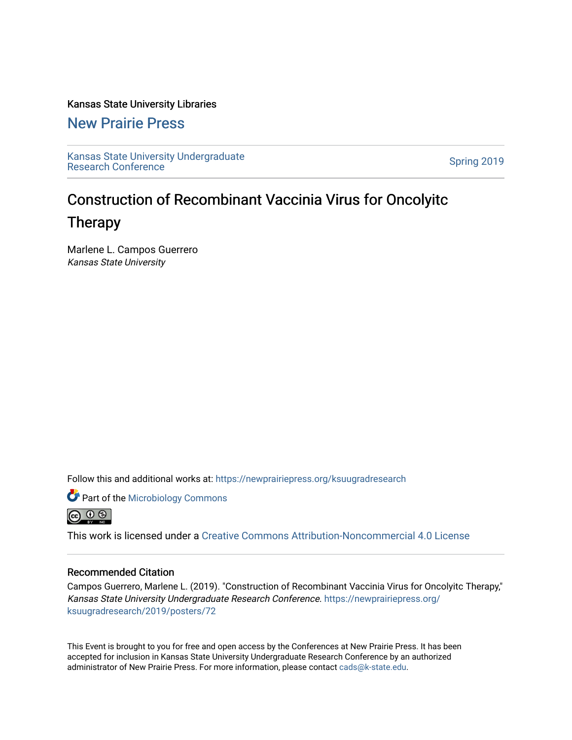### Kansas State University Libraries

[New Prairie Press](https://newprairiepress.org/) 

[Kansas State University Undergraduate](https://newprairiepress.org/ksuugradresearch)  Ransas State University Undergraduate<br>[Research Conference](https://newprairiepress.org/ksuugradresearch)

### Construction of Recombinant Vaccinia Virus for Oncolyitc Therapy

Marlene L. Campos Guerrero Kansas State University

Follow this and additional works at: [https://newprairiepress.org/ksuugradresearch](https://newprairiepress.org/ksuugradresearch?utm_source=newprairiepress.org%2Fksuugradresearch%2F2019%2Fposters%2F72&utm_medium=PDF&utm_campaign=PDFCoverPages) 





This work is licensed under a [Creative Commons Attribution-Noncommercial 4.0 License](https://creativecommons.org/licenses/by-nc/4.0/)

### Recommended Citation

Campos Guerrero, Marlene L. (2019). "Construction of Recombinant Vaccinia Virus for Oncolyitc Therapy," Kansas State University Undergraduate Research Conference. [https://newprairiepress.org/](https://newprairiepress.org/ksuugradresearch/2019/posters/72) [ksuugradresearch/2019/posters/72](https://newprairiepress.org/ksuugradresearch/2019/posters/72)

This Event is brought to you for free and open access by the Conferences at New Prairie Press. It has been accepted for inclusion in Kansas State University Undergraduate Research Conference by an authorized administrator of New Prairie Press. For more information, please contact [cads@k-state.edu](mailto:cads@k-state.edu).